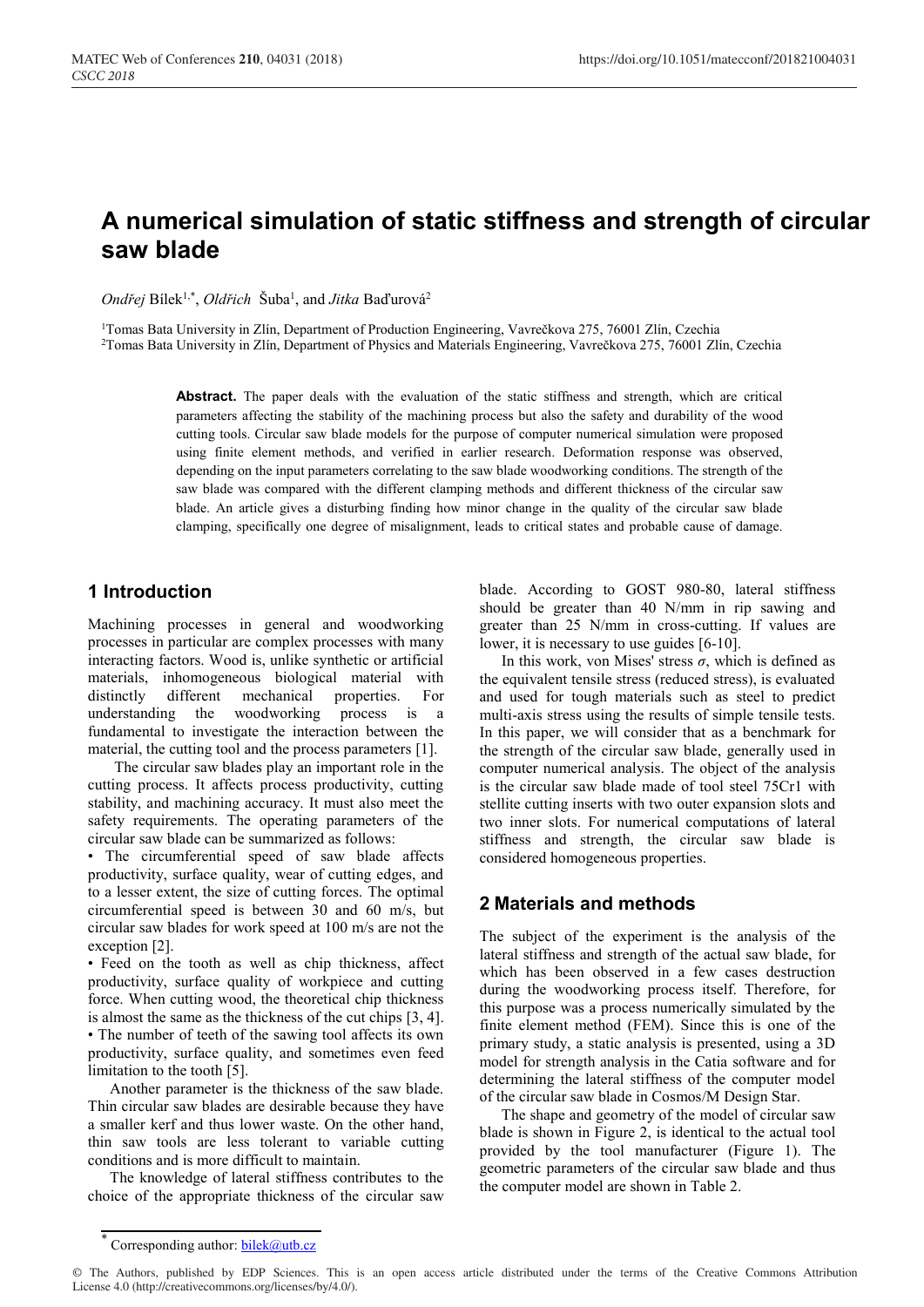# **A numerical simulation of static stiffness and strength of circular saw blade**

Ondřej Bílek<sup>1,\*</sup>, Oldřich Šuba<sup>1</sup>, and Jitka Baďurová<sup>2</sup>

<sup>1</sup>Tomas Bata University in Zlín, Department of Production Engineering, Vavrečkova 275, 76001 Zlín, Czechia

2Tomas Bata University in Zlín, Department of Physics and Materials Engineering, Vavrečkova 275, 76001 Zlín, Czechia

Abstract. The paper deals with the evaluation of the static stiffness and strength, which are critical parameters affecting the stability of the machining process but also the safety and durability of the wood cutting tools. Circular saw blade models for the purpose of computer numerical simulation were proposed using finite element methods, and verified in earlier research. Deformation response was observed, depending on the input parameters correlating to the saw blade woodworking conditions. The strength of the saw blade was compared with the different clamping methods and different thickness of the circular saw blade. An article gives a disturbing finding how minor change in the quality of the circular saw blade clamping, specifically one degree of misalignment, leads to critical states and probable cause of damage.

# **1 Introduction**

Machining processes in general and woodworking processes in particular are complex processes with many interacting factors. Wood is, unlike synthetic or artificial materials, inhomogeneous biological material with distinctly different mechanical properties. For understanding the woodworking process is a fundamental to investigate the interaction between the material, the cutting tool and the process parameters [1].

The circular saw blades play an important role in the cutting process. It affects process productivity, cutting stability, and machining accuracy. It must also meet the safety requirements. The operating parameters of the circular saw blade can be summarized as follows:

• The circumferential speed of saw blade affects productivity, surface quality, wear of cutting edges, and to a lesser extent, the size of cutting forces. The optimal circumferential speed is between 30 and 60 m/s, but circular saw blades for work speed at 100 m/s are not the exception [2].

• Feed on the tooth as well as chip thickness, affect productivity, surface quality of workpiece and cutting force. When cutting wood, the theoretical chip thickness is almost the same as the thickness of the cut chips [3, 4]. • The number of teeth of the sawing tool affects its own productivity, surface quality, and sometimes even feed limitation to the tooth [5].

Another parameter is the thickness of the saw blade. Thin circular saw blades are desirable because they have a smaller kerf and thus lower waste. On the other hand, thin saw tools are less tolerant to variable cutting conditions and is more difficult to maintain.

The knowledge of lateral stiffness contributes to the choice of the appropriate thickness of the circular saw

blade. According to GOST 980-80, lateral stiffness should be greater than 40 N/mm in rip sawing and greater than 25 N/mm in cross-cutting. If values are lower, it is necessary to use guides [6-10].

In this work, von Mises' stress  $\sigma$ , which is defined as the equivalent tensile stress (reduced stress), is evaluated and used for tough materials such as steel to predict multi-axis stress using the results of simple tensile tests. In this paper, we will consider that as a benchmark for the strength of the circular saw blade, generally used in computer numerical analysis. The object of the analysis is the circular saw blade made of tool steel 75Cr1 with stellite cutting inserts with two outer expansion slots and two inner slots. For numerical computations of lateral stiffness and strength, the circular saw blade is considered homogeneous properties.

# **2 Materials and methods**

The subject of the experiment is the analysis of the lateral stiffness and strength of the actual saw blade, for which has been observed in a few cases destruction during the woodworking process itself. Therefore, for this purpose was a process numerically simulated by the finite element method (FEM). Since this is one of the primary study, a static analysis is presented, using a 3D model for strength analysis in the Catia software and for determining the lateral stiffness of the computer model of the circular saw blade in Cosmos/M Design Star.

The shape and geometry of the model of circular saw blade is shown in Figure 2, is identical to the actual tool provided by the tool manufacturer (Figure 1). The geometric parameters of the circular saw blade and thus the computer model are shown in Table 2.

<sup>\*</sup> Corresponding author: **bilek@utb.cz** 

<sup>©</sup> The Authors, published by EDP Sciences. This is an open access article distributed under the terms of the Creative Commons Attribution License 4.0 (http://creativecommons.org/licenses/by/4.0/).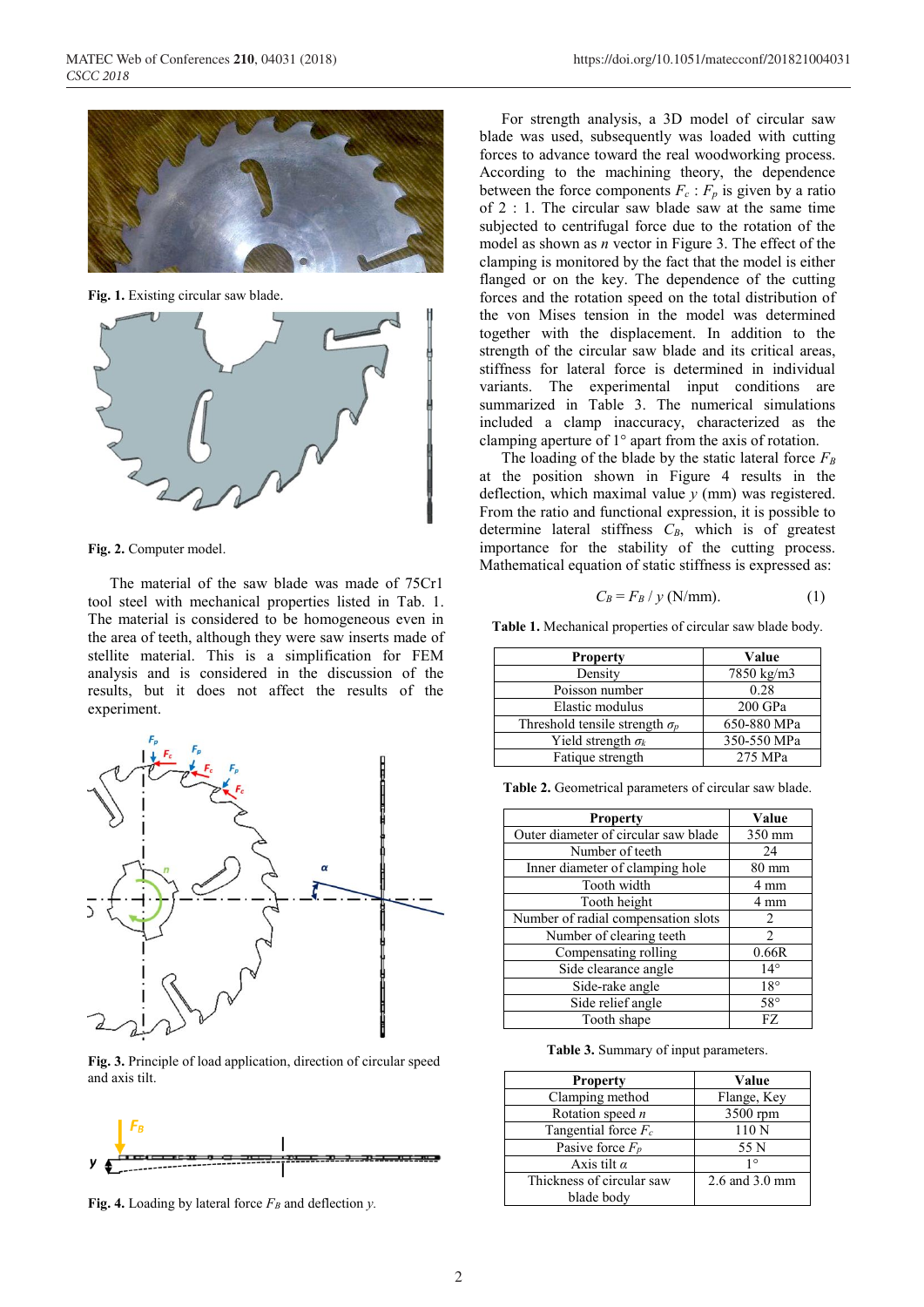

**Fig. 1.** Existing circular saw blade.



**Fig. 2.** Computer model.

The material of the saw blade was made of 75Cr1 tool steel with mechanical properties listed in Tab. 1. The material is considered to be homogeneous even in the area of teeth, although they were saw inserts made of stellite material. This is a simplification for FEM analysis and is considered in the discussion of the results, but it does not affect the results of the experiment.



**Fig. 3.** Principle of load application, direction of circular speed and axis tilt.



**Fig. 4.** Loading by lateral force  $F_B$  and deflection *y*.

For strength analysis, a 3D model of circular saw blade was used, subsequently was loaded with cutting forces to advance toward the real woodworking process. According to the machining theory, the dependence between the force components  $F_c$ :  $F_p$  is given by a ratio of 2 : 1. The circular saw blade saw at the same time subjected to centrifugal force due to the rotation of the model as shown as *n* vector in Figure 3. The effect of the clamping is monitored by the fact that the model is either flanged or on the key. The dependence of the cutting forces and the rotation speed on the total distribution of the von Mises tension in the model was determined together with the displacement. In addition to the strength of the circular saw blade and its critical areas, stiffness for lateral force is determined in individual variants. The experimental input conditions are summarized in Table 3. The numerical simulations included a clamp inaccuracy, characterized as the clamping aperture of 1° apart from the axis of rotation.

The loading of the blade by the static lateral force  $F_B$ at the position shown in Figure 4 results in the deflection, which maximal value *y* (mm) was registered. From the ratio and functional expression, it is possible to determine lateral stiffness  $C_B$ , which is of greatest importance for the stability of the cutting process. Mathematical equation of static stiffness is expressed as:

$$
C_B = F_B / y \text{ (N/mm)}.
$$
 (1)

**Table 1.** Mechanical properties of circular saw blade body.

| <b>Property</b>                       | Value       |
|---------------------------------------|-------------|
| Density                               | 7850 kg/m3  |
| Poisson number                        | 0.28        |
| Elastic modulus                       | $200$ GPa   |
| Threshold tensile strength $\sigma_p$ | 650-880 MPa |
| Yield strength $\sigma_k$             | 350-550 MPa |
| Fatique strength                      | 275 MPa     |

**Table 2.** Geometrical parameters of circular saw blade.

| <b>Property</b>                      | Value           |
|--------------------------------------|-----------------|
| Outer diameter of circular saw blade | $350$ mm        |
| Number of teeth                      | 24              |
| Inner diameter of clamping hole      | $80 \text{ mm}$ |
| Tooth width                          | 4 mm            |
| Tooth height                         | 4 mm            |
| Number of radial compensation slots  | 2               |
| Number of clearing teeth             | $\mathfrak{D}$  |
| Compensating rolling                 | 0.66R           |
| Side clearance angle                 | $14^{\circ}$    |
| Side-rake angle                      | $18^{\circ}$    |
| Side relief angle                    | $58^{\circ}$    |
| Tooth shape                          | FZ              |

**Table 3.** Summary of input parameters.

| <b>Property</b>           | Value          |
|---------------------------|----------------|
| Clamping method           | Flange, Key    |
| Rotation speed $n$        | 3500 rpm       |
| Tangential force $F_c$    | 110N           |
| Pasive force $F_p$        | 55 N           |
| Axis tilt $\alpha$        | 10             |
| Thickness of circular saw | 2.6 and 3.0 mm |
| blade body                |                |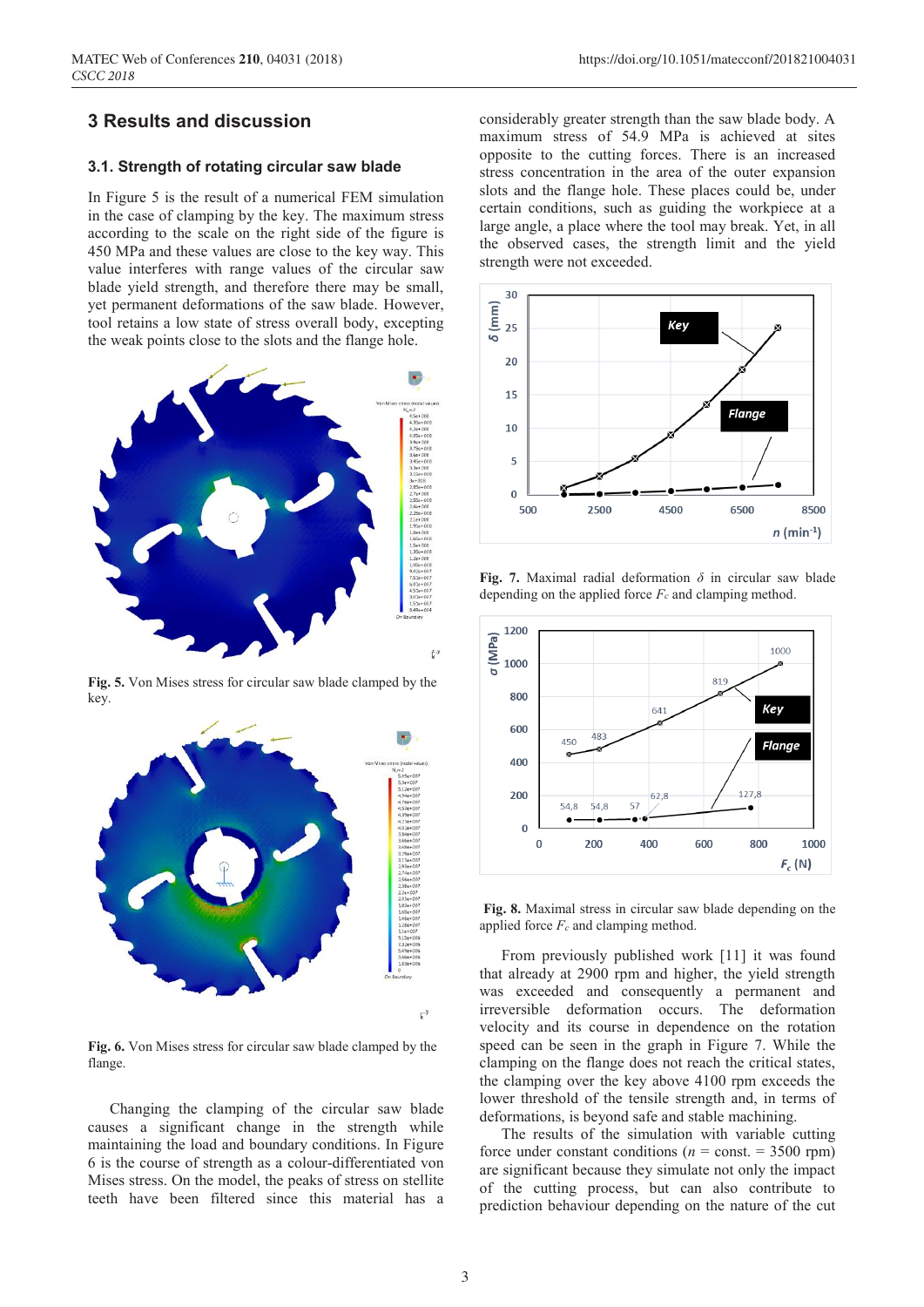## **3 Results and discussion**

#### **3.1. Strength of rotating circular saw blade**

In Figure 5 is the result of a numerical FEM simulation in the case of clamping by the key. The maximum stress according to the scale on the right side of the figure is 450 MPa and these values are close to the key way. This value interferes with range values of the circular saw blade yield strength, and therefore there may be small, yet permanent deformations of the saw blade. However, tool retains a low state of stress overall body, excepting the weak points close to the slots and the flange hole.



**Fig. 5.** Von Mises stress for circular saw blade clamped by the key.



**Fig. 6.** Von Mises stress for circular saw blade clamped by the flange.

Changing the clamping of the circular saw blade causes a significant change in the strength while maintaining the load and boundary conditions. In Figure 6 is the course of strength as a colour-differentiated von Mises stress. On the model, the peaks of stress on stellite teeth have been filtered since this material has a

considerably greater strength than the saw blade body. A maximum stress of 54.9 MPa is achieved at sites opposite to the cutting forces. There is an increased stress concentration in the area of the outer expansion slots and the flange hole. These places could be, under certain conditions, such as guiding the workpiece at a large angle, a place where the tool may break. Yet, in all the observed cases, the strength limit and the yield strength were not exceeded.



**Fig. 7.** Maximal radial deformation *δ* in circular saw blade depending on the applied force  $F_c$  and clamping method.



**Fig. 8.** Maximal stress in circular saw blade depending on the applied force  $F_c$  and clamping method.

From previously published work [11] it was found that already at 2900 rpm and higher, the yield strength was exceeded and consequently a permanent and irreversible deformation occurs. The deformation velocity and its course in dependence on the rotation speed can be seen in the graph in Figure 7. While the clamping on the flange does not reach the critical states, the clamping over the key above 4100 rpm exceeds the lower threshold of the tensile strength and, in terms of deformations, is beyond safe and stable machining.

The results of the simulation with variable cutting force under constant conditions ( $n =$  const. = 3500 rpm) are significant because they simulate not only the impact of the cutting process, but can also contribute to prediction behaviour depending on the nature of the cut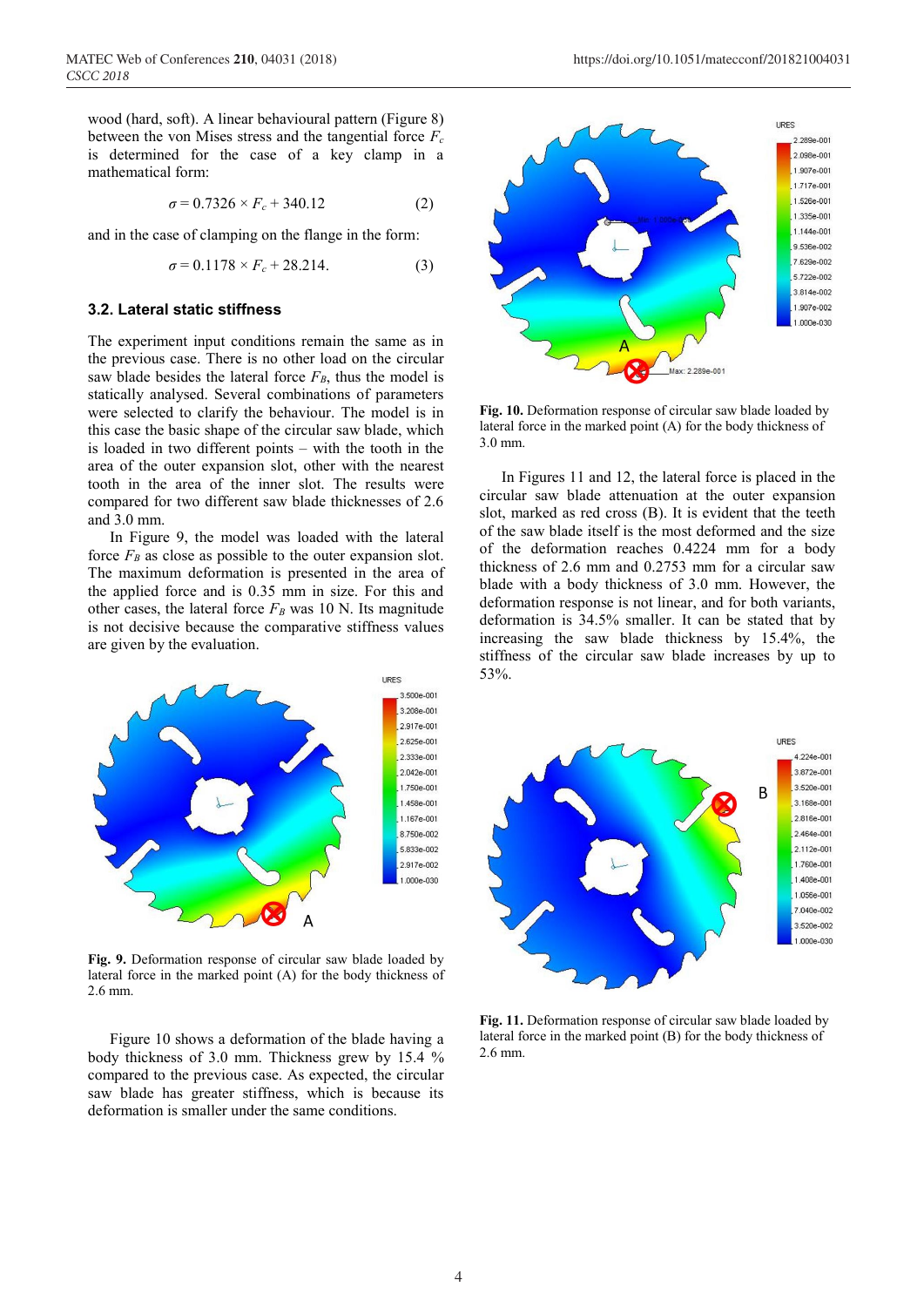wood (hard, soft). A linear behavioural pattern (Figure 8) between the von Mises stress and the tangential force  $F_c$ is determined for the case of a key clamp in a mathematical form:

$$
\sigma = 0.7326 \times F_c + 340.12 \tag{2}
$$

and in the case of clamping on the flange in the form:

$$
\sigma = 0.1178 \times F_c + 28.214. \tag{3}
$$

#### **3.2. Lateral static stiffness**

The experiment input conditions remain the same as in the previous case. There is no other load on the circular saw blade besides the lateral force  $F_B$ , thus the model is statically analysed. Several combinations of parameters were selected to clarify the behaviour. The model is in this case the basic shape of the circular saw blade, which is loaded in two different points – with the tooth in the area of the outer expansion slot, other with the nearest tooth in the area of the inner slot. The results were compared for two different saw blade thicknesses of 2.6 and 3.0 mm.

In Figure 9, the model was loaded with the lateral force  $F_B$  as close as possible to the outer expansion slot. The maximum deformation is presented in the area of the applied force and is 0.35 mm in size. For this and other cases, the lateral force  $F_B$  was 10 N. Its magnitude is not decisive because the comparative stiffness values are given by the evaluation.



**Fig. 9.** Deformation response of circular saw blade loaded by lateral force in the marked point (A) for the body thickness of 2.6 mm.

Figure 10 shows a deformation of the blade having a body thickness of 3.0 mm. Thickness grew by 15.4 % compared to the previous case. As expected, the circular saw blade has greater stiffness, which is because its deformation is smaller under the same conditions.



**Fig. 10.** Deformation response of circular saw blade loaded by lateral force in the marked point (A) for the body thickness of 3.0 mm.

In Figures 11 and 12, the lateral force is placed in the circular saw blade attenuation at the outer expansion slot, marked as red cross (B). It is evident that the teeth of the saw blade itself is the most deformed and the size of the deformation reaches 0.4224 mm for a body thickness of 2.6 mm and 0.2753 mm for a circular saw blade with a body thickness of 3.0 mm. However, the deformation response is not linear, and for both variants, deformation is 34.5% smaller. It can be stated that by increasing the saw blade thickness by 15.4%, the stiffness of the circular saw blade increases by up to 53%.



**Fig. 11.** Deformation response of circular saw blade loaded by lateral force in the marked point (B) for the body thickness of 2.6 mm.